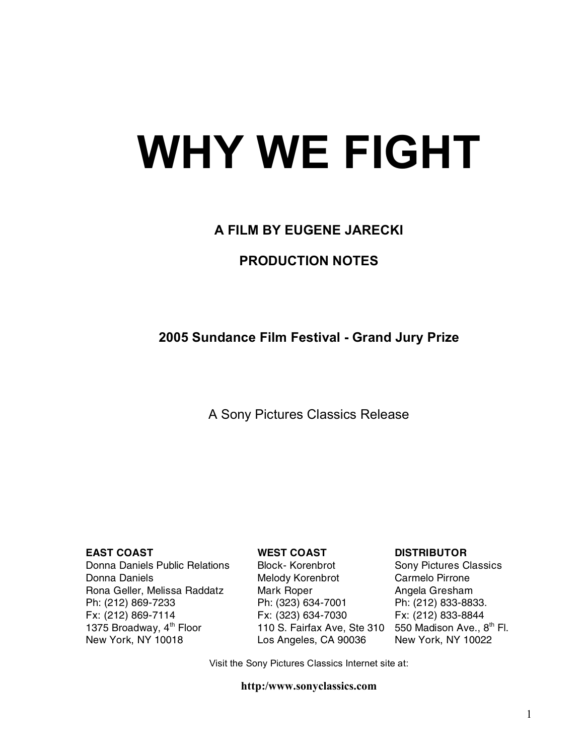# **WHY WE FIGHT**

# **A FILM BY EUGENE JARECKI**

# **PRODUCTION NOTES**

# **2005 Sundance Film Festival - Grand Jury Prize**

# A Sony Pictures Classics Release

Donna Daniels Public Relations Block- Korenbrot Sony Pictures Classics Donna Daniels **Melody Korenbrot** Carmelo Pirrone Rona Geller, Melissa Raddatz Mark Roper **Angela Gresham** Ph: (212) 869-7233 Ph: (323) 634-7001 Ph: (212) 833-8833. Fx: (212) 869-7114 Fx: (323) 634-7030 Fx: (212) 833-8844 1375 Broadway, 4<sup>th</sup> Floor 110 S. Fairfax Ave, Ste 310 550 Madison Ave., 8<sup>th</sup> Fl.<br>New York, NY 10018 **Exampler Fluide** Los Angeles, CA 90036 New York, NY 10022

Los Angeles, CA 90036 New York, NY 10022

#### **EAST COAST WEST COAST DISTRIBUTOR**

Visit the Sony Pictures Classics Internet site at:

#### **http:/www.sonyclassics.com**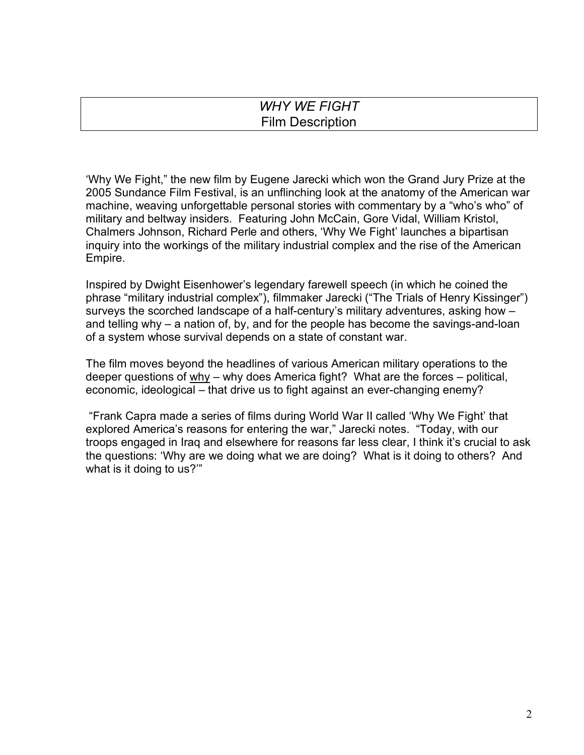| <b>WHY WE FIGHT</b>     |  |
|-------------------------|--|
| <b>Film Description</b> |  |

'Why We Fight," the new film by Eugene Jarecki which won the Grand Jury Prize at the 2005 Sundance Film Festival, is an unflinching look at the anatomy of the American war machine, weaving unforgettable personal stories with commentary by a "who's who" of military and beltway insiders. Featuring John McCain, Gore Vidal, William Kristol, Chalmers Johnson, Richard Perle and others, 'Why We Fight' launches a bipartisan inquiry into the workings of the military industrial complex and the rise of the American Empire.

Inspired by Dwight Eisenhower's legendary farewell speech (in which he coined the phrase "military industrial complex"), filmmaker Jarecki ("The Trials of Henry Kissinger") surveys the scorched landscape of a half-century's military adventures, asking how – and telling why – a nation of, by, and for the people has become the savings-and-loan of a system whose survival depends on a state of constant war.

The film moves beyond the headlines of various American military operations to the deeper questions of why – why does America fight? What are the forces – political, economic, ideological – that drive us to fight against an ever-changing enemy?

"Frank Capra made a series of films during World War II called 'Why We Fight' that explored America's reasons for entering the war," Jarecki notes. "Today, with our troops engaged in Iraq and elsewhere for reasons far less clear, I think it's crucial to ask the questions: 'Why are we doing what we are doing? What is it doing to others? And what is it doing to us?'"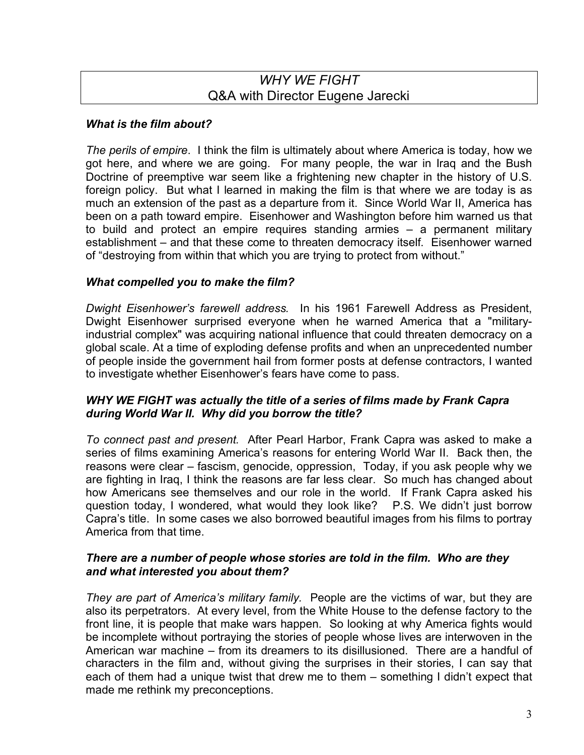# *WHY WE FIGHT* Q&A with Director Eugene Jarecki

#### *What is the film about?*

*The perils of empire*. I think the film is ultimately about where America is today, how we got here, and where we are going. For many people, the war in Iraq and the Bush Doctrine of preemptive war seem like a frightening new chapter in the history of U.S. foreign policy. But what I learned in making the film is that where we are today is as much an extension of the past as a departure from it. Since World War II, America has been on a path toward empire. Eisenhower and Washington before him warned us that to build and protect an empire requires standing armies – a permanent military establishment – and that these come to threaten democracy itself. Eisenhower warned of "destroying from within that which you are trying to protect from without."

#### *What compelled you to make the film?*

*Dwight Eisenhower's farewell address.* In his 1961 Farewell Address as President, Dwight Eisenhower surprised everyone when he warned America that a "militaryindustrial complex" was acquiring national influence that could threaten democracy on a global scale. At a time of exploding defense profits and when an unprecedented number of people inside the government hail from former posts at defense contractors, I wanted to investigate whether Eisenhower's fears have come to pass.

#### *WHY WE FIGHT was actually the title of a series of films made by Frank Capra during World War II. Why did you borrow the title?*

*To connect past and present.* After Pearl Harbor, Frank Capra was asked to make a series of films examining America's reasons for entering World War II. Back then, the reasons were clear – fascism, genocide, oppression, Today, if you ask people why we are fighting in Iraq, I think the reasons are far less clear. So much has changed about how Americans see themselves and our role in the world. If Frank Capra asked his question today, I wondered, what would they look like? P.S. We didn't just borrow Capra's title. In some cases we also borrowed beautiful images from his films to portray America from that time.

#### *There are a number of people whose stories are told in the film. Who are they and what interested you about them?*

*They are part of America's military family.* People are the victims of war, but they are also its perpetrators. At every level, from the White House to the defense factory to the front line, it is people that make wars happen. So looking at why America fights would be incomplete without portraying the stories of people whose lives are interwoven in the American war machine – from its dreamers to its disillusioned. There are a handful of characters in the film and, without giving the surprises in their stories, I can say that each of them had a unique twist that drew me to them – something I didn't expect that made me rethink my preconceptions.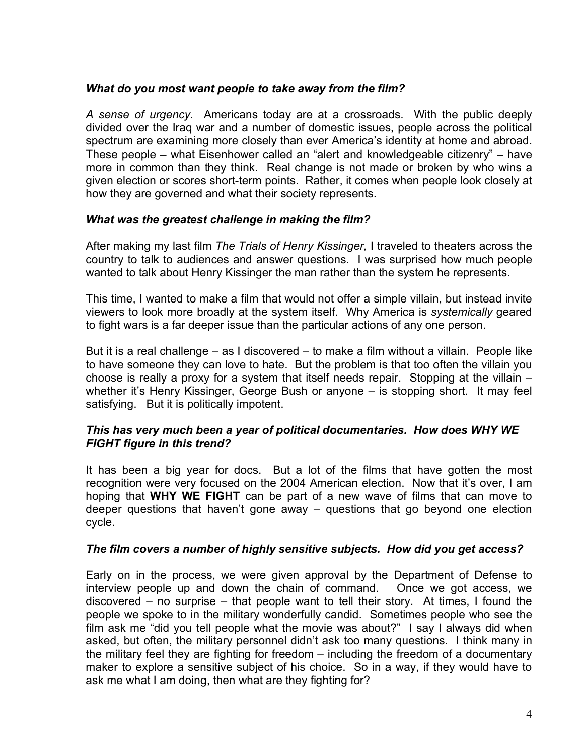#### *What do you most want people to take away from the film?*

*A sense of urgency.* Americans today are at a crossroads. With the public deeply divided over the Iraq war and a number of domestic issues, people across the political spectrum are examining more closely than ever America's identity at home and abroad. These people – what Eisenhower called an "alert and knowledgeable citizenry" – have more in common than they think. Real change is not made or broken by who wins a given election or scores short-term points. Rather, it comes when people look closely at how they are governed and what their society represents.

#### *What was the greatest challenge in making the film?*

After making my last film *The Trials of Henry Kissinger,* I traveled to theaters across the country to talk to audiences and answer questions. I was surprised how much people wanted to talk about Henry Kissinger the man rather than the system he represents.

This time, I wanted to make a film that would not offer a simple villain, but instead invite viewers to look more broadly at the system itself. Why America is *systemically* geared to fight wars is a far deeper issue than the particular actions of any one person.

But it is a real challenge – as I discovered – to make a film without a villain. People like to have someone they can love to hate. But the problem is that too often the villain you choose is really a proxy for a system that itself needs repair. Stopping at the villain – whether it's Henry Kissinger, George Bush or anyone – is stopping short. It may feel satisfying. But it is politically impotent.

#### *This has very much been a year of political documentaries. How does WHY WE FIGHT figure in this trend?*

It has been a big year for docs. But a lot of the films that have gotten the most recognition were very focused on the 2004 American election. Now that it's over, I am hoping that **WHY WE FIGHT** can be part of a new wave of films that can move to deeper questions that haven't gone away – questions that go beyond one election cycle.

#### *The film covers a number of highly sensitive subjects. How did you get access?*

Early on in the process, we were given approval by the Department of Defense to interview people up and down the chain of command. Once we got access, we discovered – no surprise – that people want to tell their story. At times, I found the people we spoke to in the military wonderfully candid. Sometimes people who see the film ask me "did you tell people what the movie was about?" I say I always did when asked, but often, the military personnel didn't ask too many questions. I think many in the military feel they are fighting for freedom – including the freedom of a documentary maker to explore a sensitive subject of his choice. So in a way, if they would have to ask me what I am doing, then what are they fighting for?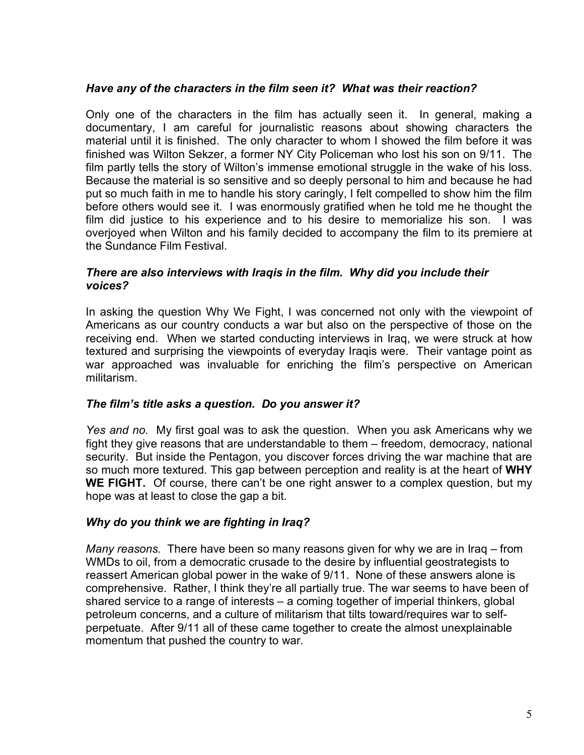#### *Have any of the characters in the film seen it? What was their reaction?*

Only one of the characters in the film has actually seen it. In general, making a documentary, I am careful for journalistic reasons about showing characters the material until it is finished. The only character to whom I showed the film before it was finished was Wilton Sekzer, a former NY City Policeman who lost his son on 9/11. The film partly tells the story of Wilton's immense emotional struggle in the wake of his loss. Because the material is so sensitive and so deeply personal to him and because he had put so much faith in me to handle his story caringly, I felt compelled to show him the film before others would see it. I was enormously gratified when he told me he thought the film did justice to his experience and to his desire to memorialize his son. I was overjoyed when Wilton and his family decided to accompany the film to its premiere at the Sundance Film Festival.

#### *There are also interviews with Iraqis in the film. Why did you include their voices?*

In asking the question Why We Fight, I was concerned not only with the viewpoint of Americans as our country conducts a war but also on the perspective of those on the receiving end. When we started conducting interviews in Iraq, we were struck at how textured and surprising the viewpoints of everyday Iraqis were. Their vantage point as war approached was invaluable for enriching the film's perspective on American militarism.

#### *The film's title asks a question. Do you answer it?*

*Yes and no.* My first goal was to ask the question. When you ask Americans why we fight they give reasons that are understandable to them – freedom, democracy, national security. But inside the Pentagon, you discover forces driving the war machine that are so much more textured. This gap between perception and reality is at the heart of **WHY WE FIGHT.** Of course, there can't be one right answer to a complex question, but my hope was at least to close the gap a bit.

#### *Why do you think we are fighting in Iraq?*

*Many reasons.* There have been so many reasons given for why we are in Iraq – from WMDs to oil, from a democratic crusade to the desire by influential geostrategists to reassert American global power in the wake of 9/11. None of these answers alone is comprehensive. Rather, I think they're all partially true. The war seems to have been of shared service to a range of interests – a coming together of imperial thinkers, global petroleum concerns, and a culture of militarism that tilts toward/requires war to selfperpetuate. After 9/11 all of these came together to create the almost unexplainable momentum that pushed the country to war.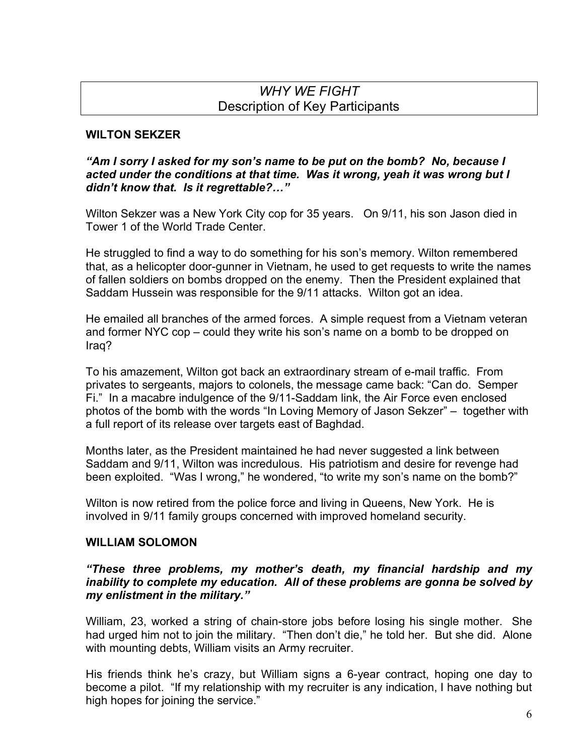# *WHY WE FIGHT* Description of Key Participants

#### **WILTON SEKZER**

#### *"Am I sorry I asked for my son's name to be put on the bomb? No, because I acted under the conditions at that time. Was it wrong, yeah it was wrong but I didn't know that. Is it regrettable?…"*

Wilton Sekzer was a New York City cop for 35 years. On 9/11, his son Jason died in Tower 1 of the World Trade Center.

He struggled to find a way to do something for his son's memory. Wilton remembered that, as a helicopter door-gunner in Vietnam, he used to get requests to write the names of fallen soldiers on bombs dropped on the enemy. Then the President explained that Saddam Hussein was responsible for the 9/11 attacks. Wilton got an idea.

He emailed all branches of the armed forces. A simple request from a Vietnam veteran and former NYC cop – could they write his son's name on a bomb to be dropped on Iraq?

To his amazement, Wilton got back an extraordinary stream of e-mail traffic. From privates to sergeants, majors to colonels, the message came back: "Can do. Semper Fi." In a macabre indulgence of the 9/11-Saddam link, the Air Force even enclosed photos of the bomb with the words "In Loving Memory of Jason Sekzer" – together with a full report of its release over targets east of Baghdad.

Months later, as the President maintained he had never suggested a link between Saddam and 9/11, Wilton was incredulous. His patriotism and desire for revenge had been exploited. "Was I wrong," he wondered, "to write my son's name on the bomb?"

Wilton is now retired from the police force and living in Queens, New York. He is involved in 9/11 family groups concerned with improved homeland security.

#### **WILLIAM SOLOMON**

#### *"These three problems, my mother's death, my financial hardship and my inability to complete my education. All of these problems are gonna be solved by my enlistment in the military."*

William, 23, worked a string of chain-store jobs before losing his single mother. She had urged him not to join the military. "Then don't die," he told her. But she did. Alone with mounting debts, William visits an Army recruiter.

His friends think he's crazy, but William signs a 6-year contract, hoping one day to become a pilot. "If my relationship with my recruiter is any indication, I have nothing but high hopes for joining the service."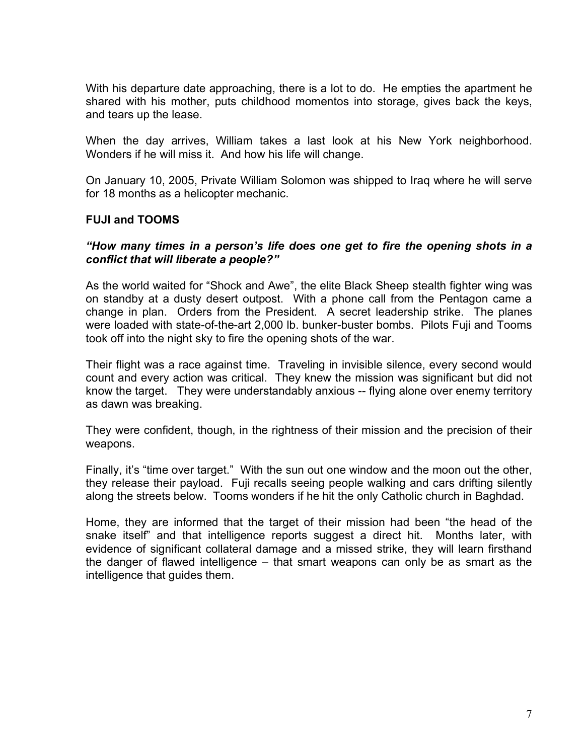With his departure date approaching, there is a lot to do. He empties the apartment he shared with his mother, puts childhood momentos into storage, gives back the keys, and tears up the lease.

When the day arrives, William takes a last look at his New York neighborhood. Wonders if he will miss it. And how his life will change.

On January 10, 2005, Private William Solomon was shipped to Iraq where he will serve for 18 months as a helicopter mechanic.

#### **FUJI and TOOMS**

#### *"How many times in a person's life does one get to fire the opening shots in a conflict that will liberate a people?"*

As the world waited for "Shock and Awe", the elite Black Sheep stealth fighter wing was on standby at a dusty desert outpost. With a phone call from the Pentagon came a change in plan. Orders from the President. A secret leadership strike. The planes were loaded with state-of-the-art 2,000 lb. bunker-buster bombs. Pilots Fuji and Tooms took off into the night sky to fire the opening shots of the war.

Their flight was a race against time. Traveling in invisible silence, every second would count and every action was critical. They knew the mission was significant but did not know the target. They were understandably anxious -- flying alone over enemy territory as dawn was breaking.

They were confident, though, in the rightness of their mission and the precision of their weapons.

Finally, it's "time over target." With the sun out one window and the moon out the other, they release their payload. Fuji recalls seeing people walking and cars drifting silently along the streets below. Tooms wonders if he hit the only Catholic church in Baghdad.

Home, they are informed that the target of their mission had been "the head of the snake itself" and that intelligence reports suggest a direct hit. Months later, with evidence of significant collateral damage and a missed strike, they will learn firsthand the danger of flawed intelligence – that smart weapons can only be as smart as the intelligence that guides them.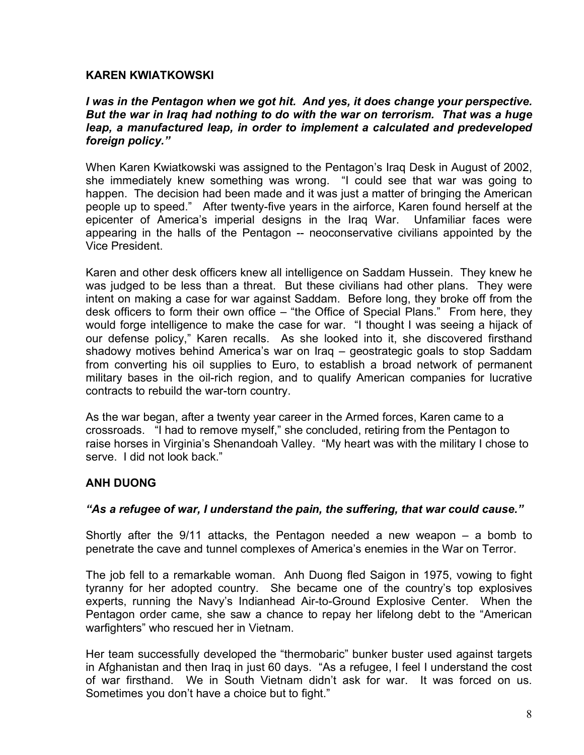#### **KAREN KWIATKOWSKI**

#### *I was in the Pentagon when we got hit. And yes, it does change your perspective. But the war in Iraq had nothing to do with the war on terrorism. That was a huge leap, a manufactured leap, in order to implement a calculated and predeveloped foreign policy."*

When Karen Kwiatkowski was assigned to the Pentagon's Iraq Desk in August of 2002, she immediately knew something was wrong. "I could see that war was going to happen. The decision had been made and it was just a matter of bringing the American people up to speed." After twenty-five years in the airforce, Karen found herself at the epicenter of America's imperial designs in the Iraq War. Unfamiliar faces were appearing in the halls of the Pentagon -- neoconservative civilians appointed by the Vice President.

Karen and other desk officers knew all intelligence on Saddam Hussein. They knew he was judged to be less than a threat. But these civilians had other plans. They were intent on making a case for war against Saddam. Before long, they broke off from the desk officers to form their own office – "the Office of Special Plans." From here, they would forge intelligence to make the case for war. "I thought I was seeing a hijack of our defense policy," Karen recalls. As she looked into it, she discovered firsthand shadowy motives behind America's war on Iraq – geostrategic goals to stop Saddam from converting his oil supplies to Euro, to establish a broad network of permanent military bases in the oil-rich region, and to qualify American companies for lucrative contracts to rebuild the war-torn country.

As the war began, after a twenty year career in the Armed forces, Karen came to a crossroads. "I had to remove myself," she concluded, retiring from the Pentagon to raise horses in Virginia's Shenandoah Valley. "My heart was with the military I chose to serve. I did not look back."

#### **ANH DUONG**

#### *"As a refugee of war, I understand the pain, the suffering, that war could cause."*

Shortly after the 9/11 attacks, the Pentagon needed a new weapon – a bomb to penetrate the cave and tunnel complexes of America's enemies in the War on Terror.

The job fell to a remarkable woman. Anh Duong fled Saigon in 1975, vowing to fight tyranny for her adopted country. She became one of the country's top explosives experts, running the Navy's Indianhead Air-to-Ground Explosive Center. When the Pentagon order came, she saw a chance to repay her lifelong debt to the "American warfighters" who rescued her in Vietnam.

Her team successfully developed the "thermobaric" bunker buster used against targets in Afghanistan and then Iraq in just 60 days. "As a refugee, I feel I understand the cost of war firsthand. We in South Vietnam didn't ask for war. It was forced on us. Sometimes you don't have a choice but to fight."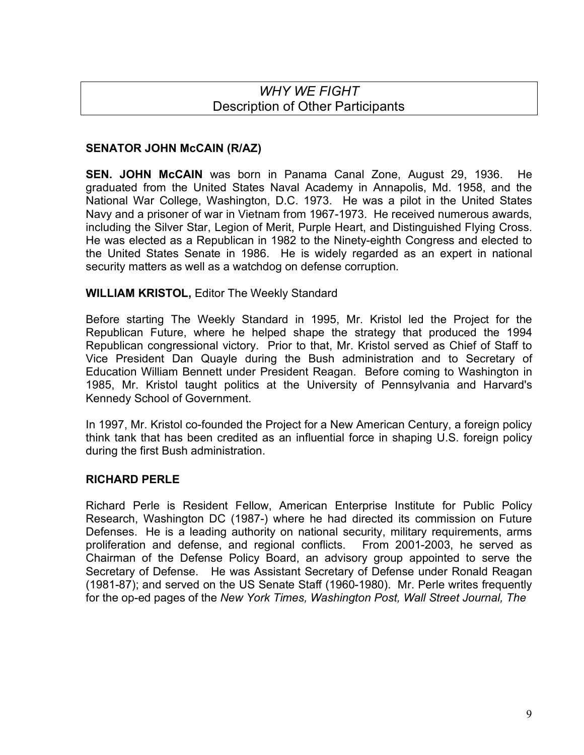# *WHY WE FIGHT* Description of Other Participants

## **SENATOR JOHN McCAIN (R/AZ)**

**SEN. JOHN McCAIN** was born in Panama Canal Zone, August 29, 1936. He graduated from the United States Naval Academy in Annapolis, Md. 1958, and the National War College, Washington, D.C. 1973. He was a pilot in the United States Navy and a prisoner of war in Vietnam from 1967-1973. He received numerous awards, including the Silver Star, Legion of Merit, Purple Heart, and Distinguished Flying Cross. He was elected as a Republican in 1982 to the Ninety-eighth Congress and elected to the United States Senate in 1986. He is widely regarded as an expert in national security matters as well as a watchdog on defense corruption.

### **WILLIAM KRISTOL,** Editor The Weekly Standard

Before starting The Weekly Standard in 1995, Mr. Kristol led the Project for the Republican Future, where he helped shape the strategy that produced the 1994 Republican congressional victory. Prior to that, Mr. Kristol served as Chief of Staff to Vice President Dan Quayle during the Bush administration and to Secretary of Education William Bennett under President Reagan. Before coming to Washington in 1985, Mr. Kristol taught politics at the University of Pennsylvania and Harvard's Kennedy School of Government.

In 1997, Mr. Kristol co-founded the Project for a New American Century, a foreign policy think tank that has been credited as an influential force in shaping U.S. foreign policy during the first Bush administration.

### **RICHARD PERLE**

Richard Perle is Resident Fellow, American Enterprise Institute for Public Policy Research, Washington DC (1987-) where he had directed its commission on Future Defenses. He is a leading authority on national security, military requirements, arms proliferation and defense, and regional conflicts. From 2001-2003, he served as Chairman of the Defense Policy Board, an advisory group appointed to serve the Secretary of Defense. He was Assistant Secretary of Defense under Ronald Reagan (1981-87); and served on the US Senate Staff (1960-1980). Mr. Perle writes frequently for the op-ed pages of the *New York Times, Washington Post, Wall Street Journal, The*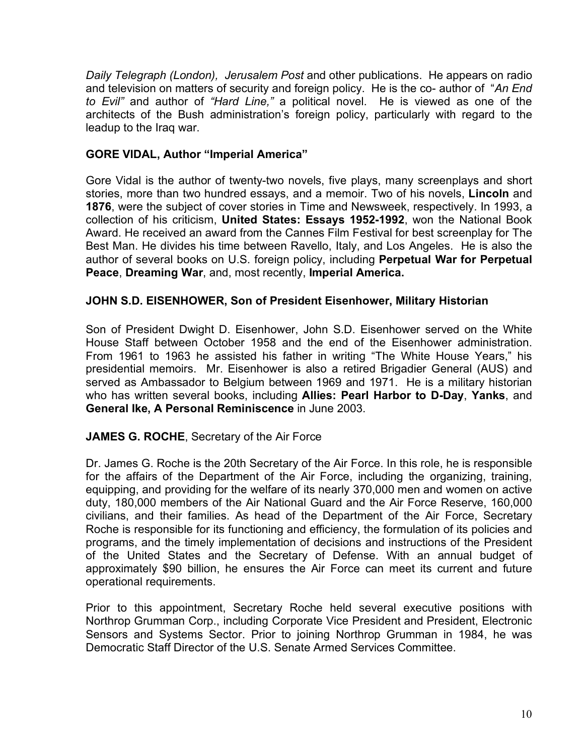*Daily Telegraph (London), Jerusalem Post* and other publications. He appears on radio and television on matters of security and foreign policy. He is the co- author of "*An End to Evil"* and author of *"Hard Line,"* a political novel. He is viewed as one of the architects of the Bush administration's foreign policy, particularly with regard to the leadup to the Iraq war.

#### **GORE VIDAL, Author "Imperial America"**

Gore Vidal is the author of twenty-two novels, five plays, many screenplays and short stories, more than two hundred essays, and a memoir. Two of his novels, **Lincoln** and **1876**, were the subject of cover stories in Time and Newsweek, respectively. In 1993, a collection of his criticism, **United States: Essays 1952-1992**, won the National Book Award. He received an award from the Cannes Film Festival for best screenplay for The Best Man. He divides his time between Ravello, Italy, and Los Angeles. He is also the author of several books on U.S. foreign policy, including **Perpetual War for Perpetual Peace**, **Dreaming War**, and, most recently, **Imperial America.**

#### **JOHN S.D. EISENHOWER, Son of President Eisenhower, Military Historian**

Son of President Dwight D. Eisenhower, John S.D. Eisenhower served on the White House Staff between October 1958 and the end of the Eisenhower administration. From 1961 to 1963 he assisted his father in writing "The White House Years," his presidential memoirs. Mr. Eisenhower is also a retired Brigadier General (AUS) and served as Ambassador to Belgium between 1969 and 1971. He is a military historian who has written several books, including **Allies: Pearl Harbor to D-Day**, **Yanks**, and **General Ike, A Personal Reminiscence** in June 2003.

### **JAMES G. ROCHE**, Secretary of the Air Force

Dr. James G. Roche is the 20th Secretary of the Air Force. In this role, he is responsible for the affairs of the Department of the Air Force, including the organizing, training, equipping, and providing for the welfare of its nearly 370,000 men and women on active duty, 180,000 members of the Air National Guard and the Air Force Reserve, 160,000 civilians, and their families. As head of the Department of the Air Force, Secretary Roche is responsible for its functioning and efficiency, the formulation of its policies and programs, and the timely implementation of decisions and instructions of the President of the United States and the Secretary of Defense. With an annual budget of approximately \$90 billion, he ensures the Air Force can meet its current and future operational requirements.

Prior to this appointment, Secretary Roche held several executive positions with Northrop Grumman Corp., including Corporate Vice President and President, Electronic Sensors and Systems Sector. Prior to joining Northrop Grumman in 1984, he was Democratic Staff Director of the U.S. Senate Armed Services Committee.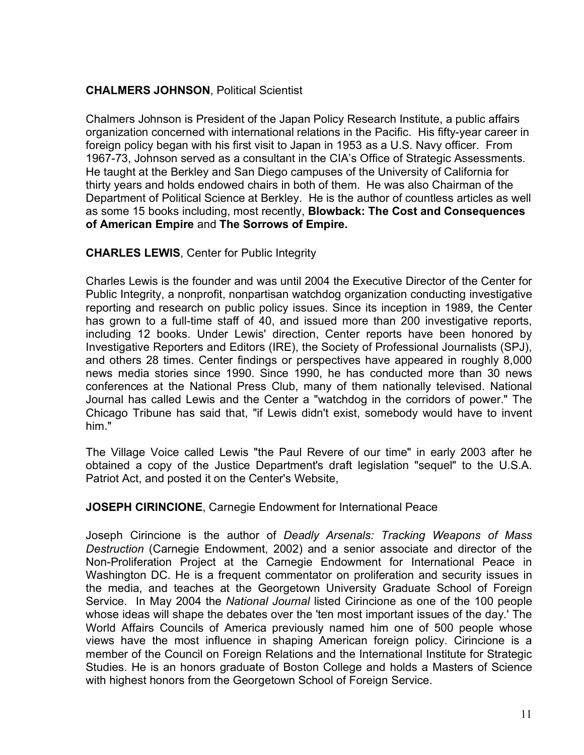## **CHALMERS JOHNSON**, Political Scientist

Chalmers Johnson is President of the Japan Policy Research Institute, a public affairs organization concerned with international relations in the Pacific. His fifty-year career in foreign policy began with his first visit to Japan in 1953 as a U.S. Navy officer. From 1967-73, Johnson served as a consultant in the CIA's Office of Strategic Assessments. He taught at the Berkley and San Diego campuses of the University of California for thirty years and holds endowed chairs in both of them. He was also Chairman of the Department of Political Science at Berkley. He is the author of countless articles as well as some 15 books including, most recently, **Blowback: The Cost and Consequences of American Empire** and **The Sorrows of Empire.**

#### **CHARLES LEWIS**, Center for Public Integrity

Charles Lewis is the founder and was until 2004 the Executive Director of the Center for Public Integrity, a nonprofit, nonpartisan watchdog organization conducting investigative reporting and research on public policy issues. Since its inception in 1989, the Center has grown to a full-time staff of 40, and issued more than 200 investigative reports, including 12 books. Under Lewis' direction, Center reports have been honored by Investigative Reporters and Editors (IRE), the Society of Professional Journalists (SPJ), and others 28 times. Center findings or perspectives have appeared in roughly 8,000 news media stories since 1990. Since 1990, he has conducted more than 30 news conferences at the National Press Club, many of them nationally televised. National Journal has called Lewis and the Center a "watchdog in the corridors of power." The Chicago Tribune has said that, "if Lewis didn't exist, somebody would have to invent him."

The Village Voice called Lewis "the Paul Revere of our time" in early 2003 after he obtained a copy of the Justice Department's draft legislation "sequel" to the U.S.A. Patriot Act, and posted it on the Center's Website,

#### **JOSEPH CIRINCIONE**, Carnegie Endowment for International Peace

Joseph Cirincione is the author of *Deadly Arsenals: Tracking Weapons of Mass Destruction* (Carnegie Endowment, 2002) and a senior associate and director of the Non-Proliferation Project at the Carnegie Endowment for International Peace in Washington DC. He is a frequent commentator on proliferation and security issues in the media, and teaches at the Georgetown University Graduate School of Foreign Service. In May 2004 the *National Journal* listed Cirincione as one of the 100 people whose ideas will shape the debates over the 'ten most important issues of the day.' The World Affairs Councils of America previously named him one of 500 people whose views have the most influence in shaping American foreign policy. Cirincione is a member of the Council on Foreign Relations and the International Institute for Strategic Studies. He is an honors graduate of Boston College and holds a Masters of Science with highest honors from the Georgetown School of Foreign Service.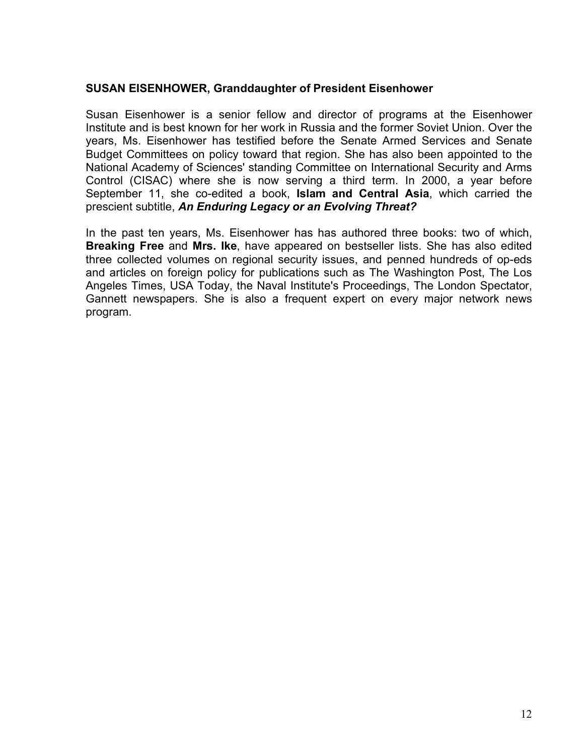#### **SUSAN EISENHOWER, Granddaughter of President Eisenhower**

Susan Eisenhower is a senior fellow and director of programs at the Eisenhower Institute and is best known for her work in Russia and the former Soviet Union. Over the years, Ms. Eisenhower has testified before the Senate Armed Services and Senate Budget Committees on policy toward that region. She has also been appointed to the National Academy of Sciences' standing Committee on International Security and Arms Control (CISAC) where she is now serving a third term. In 2000, a year before September 11, she co-edited a book, **Islam and Central Asia**, which carried the prescient subtitle, *An Enduring Legacy or an Evolving Threat?*

In the past ten years, Ms. Eisenhower has has authored three books: two of which, **Breaking Free** and **Mrs. Ike**, have appeared on bestseller lists. She has also edited three collected volumes on regional security issues, and penned hundreds of op-eds and articles on foreign policy for publications such as The Washington Post, The Los Angeles Times, USA Today, the Naval Institute's Proceedings, The London Spectator, Gannett newspapers. She is also a frequent expert on every major network news program.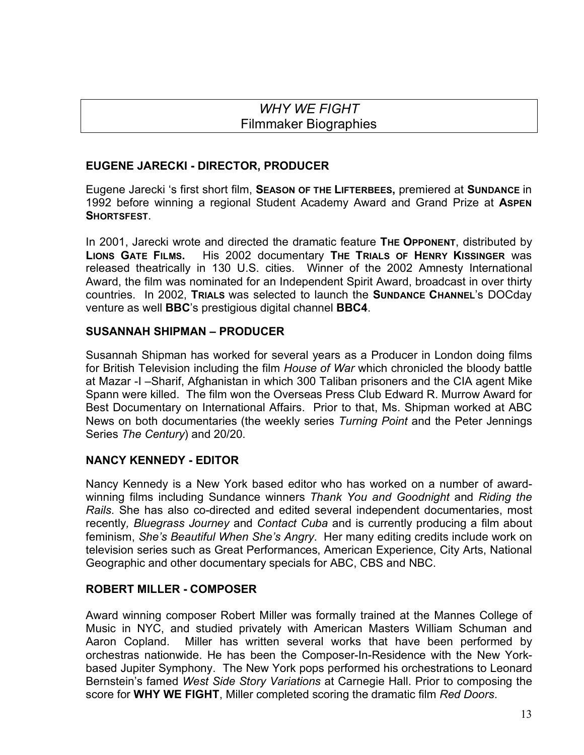# *WHY WE FIGHT* Filmmaker Biographies

### **EUGENE JARECKI - DIRECTOR, PRODUCER**

Eugene Jarecki 's first short film, **SEASON OF THE LIFTERBEES,** premiered at **SUNDANCE** in 1992 before winning a regional Student Academy Award and Grand Prize at **ASPEN SHORTSFEST**.

In 2001, Jarecki wrote and directed the dramatic feature **THE OPPONENT**, distributed by **LIONS GATE FILMS.** His 2002 documentary **THE TRIALS OF HENRY KISSINGER** was released theatrically in 130 U.S. cities. Winner of the 2002 Amnesty International Award, the film was nominated for an Independent Spirit Award, broadcast in over thirty countries. In 2002, **TRIALS** was selected to launch the **SUNDANCE CHANNEL**'s DOCday venture as well **BBC**'s prestigious digital channel **BBC4**.

#### **SUSANNAH SHIPMAN – PRODUCER**

Susannah Shipman has worked for several years as a Producer in London doing films for British Television including the film *House of War* which chronicled the bloody battle at Mazar -I –Sharif, Afghanistan in which 300 Taliban prisoners and the CIA agent Mike Spann were killed. The film won the Overseas Press Club Edward R. Murrow Award for Best Documentary on International Affairs. Prior to that, Ms. Shipman worked at ABC News on both documentaries (the weekly series *Turning Point* and the Peter Jennings Series *The Century*) and 20/20.

#### **NANCY KENNEDY - EDITOR**

Nancy Kennedy is a New York based editor who has worked on a number of awardwinning films including Sundance winners *Thank You and Goodnight* and *Riding the Rails*. She has also co-directed and edited several independent documentaries, most recently*, Bluegrass Journey* and *Contact Cuba* and is currently producing a film about feminism, *She's Beautiful When She's Angry*. Her many editing credits include work on television series such as Great Performances, American Experience, City Arts, National Geographic and other documentary specials for ABC, CBS and NBC.

#### **ROBERT MILLER - COMPOSER**

Award winning composer Robert Miller was formally trained at the Mannes College of Music in NYC, and studied privately with American Masters William Schuman and Aaron Copland. Miller has written several works that have been performed by orchestras nationwide. He has been the Composer-In-Residence with the New Yorkbased Jupiter Symphony. The New York pops performed his orchestrations to Leonard Bernstein's famed *West Side Story Variations* at Carnegie Hall. Prior to composing the score for **WHY WE FIGHT**, Miller completed scoring the dramatic film *Red Doors*.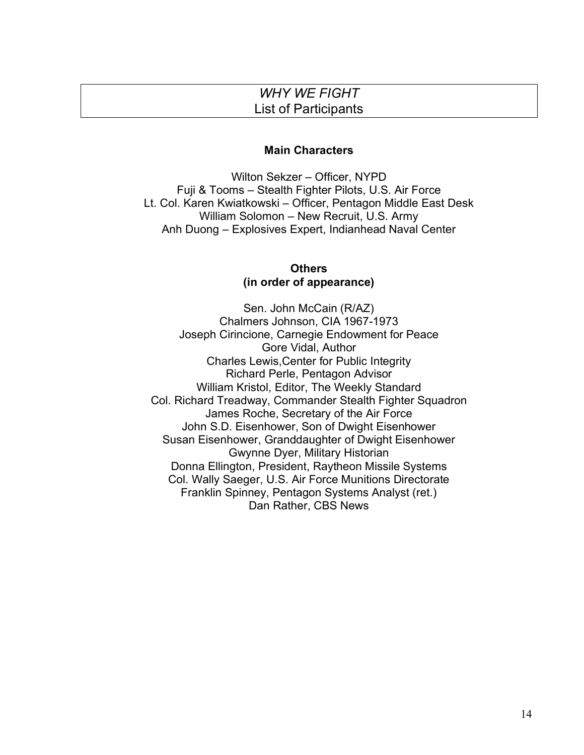# *WHY WE FIGHT* List of Participants

#### **Main Characters**

Wilton Sekzer – Officer, NYPD Fuji & Tooms – Stealth Fighter Pilots, U.S. Air Force Lt. Col. Karen Kwiatkowski – Officer, Pentagon Middle East Desk William Solomon – New Recruit, U.S. Army Anh Duong – Explosives Expert, Indianhead Naval Center

#### **Others (in order of appearance)**

Sen. John McCain (R/AZ) Chalmers Johnson, CIA 1967-1973 Joseph Cirincione, Carnegie Endowment for Peace Gore Vidal, Author Charles Lewis,Center for Public Integrity Richard Perle, Pentagon Advisor William Kristol, Editor, The Weekly Standard Col. Richard Treadway, Commander Stealth Fighter Squadron James Roche, Secretary of the Air Force John S.D. Eisenhower, Son of Dwight Eisenhower Susan Eisenhower, Granddaughter of Dwight Eisenhower Gwynne Dyer, Military Historian Donna Ellington, President, Raytheon Missile Systems Col. Wally Saeger, U.S. Air Force Munitions Directorate Franklin Spinney, Pentagon Systems Analyst (ret.) Dan Rather, CBS News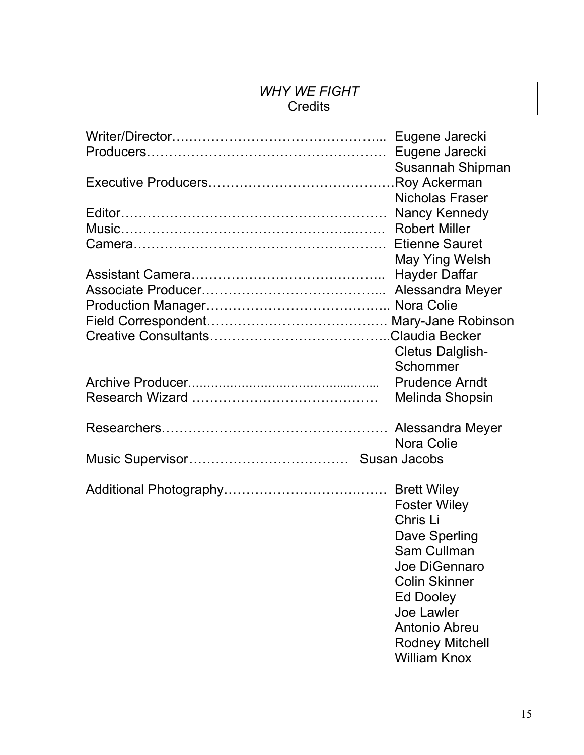# *WHY WE FIGHT* **Credits**

| Susannah Shipman                        |
|-----------------------------------------|
| .Roy Ackerman                           |
| <b>Nicholas Fraser</b>                  |
| Nancy Kennedy                           |
| <b>Robert Miller</b>                    |
| <b>Etienne Sauret</b><br>May Ying Welsh |
| <b>Hayder Daffar</b>                    |
| Alessandra Meyer                        |
|                                         |
|                                         |
|                                         |
| <b>Cletus Dalglish-</b>                 |
| Schommer                                |
| <b>Prudence Arndt</b>                   |
| Melinda Shopsin                         |
|                                         |
|                                         |
| Nora Colie                              |
|                                         |
|                                         |
| <b>Foster Wiley</b>                     |
| Chris Li                                |
| Dave Sperling                           |
| Sam Cullman                             |
| Joe DiGennaro                           |
| <b>Colin Skinner</b>                    |
| Ed Dooley                               |
| Joe Lawler                              |
| Antonio Abreu                           |
| <b>Rodney Mitchell</b>                  |
| <b>William Knox</b>                     |
|                                         |